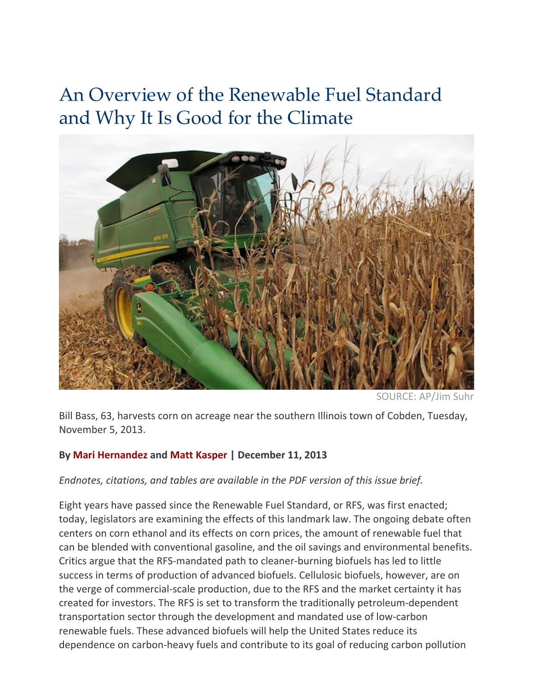# An Overview of the Renewable Fuel Standard and Why It Is Good for the Climate



SOURCE: AP/Jim Sul

Bill Bass, 63, harvests corn on acreage near the southern Illinois town of Cobden, Tuesday, November 5, 2013.

#### **By Mari Hernandez and Matt Kasper | December 11, 2013**

#### *Endnotes,)citations,)and)tables)are)available)in)the)PDF)version)of)this)issue)brief.*

Eight years have passed since the Renewable Fuel Standard, or RFS, was first enacted; today, legislators are examining the effects of this landmark law. The ongoing debate often centers on corn ethanol and its effects on corn prices, the amount of renewable fuel that can be blended with conventional gasoline, and the oil savings and environmental benefits. Critics argue that the RFS-mandated path to cleaner-burning biofuels has led to little success in terms of production of advanced biofuels. Cellulosic biofuels, however, are on the verge of commercial-scale production, due to the RFS and the market certainty it has created for investors. The RFS is set to transform the traditionally petroleum-dependent transportation sector through the development and mandated use of low-carbon renewable fuels. These advanced biofuels will help the United States reduce its dependence on carbon-heavy fuels and contribute to its goal of reducing carbon pollution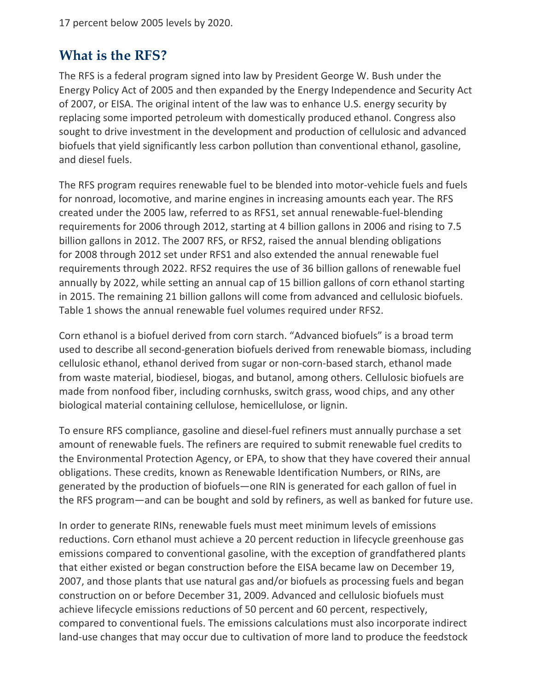17 percent below 2005 levels by 2020.

#### **What is the RFS?**

The RFS is a federal program signed into law by President George W. Bush under the Energy Policy Act of 2005 and then expanded by the Energy Independence and Security Act of 2007, or EISA. The original intent of the law was to enhance U.S. energy security by replacing some imported petroleum with domestically produced ethanol. Congress also sought to drive investment in the development and production of cellulosic and advanced biofuels that yield significantly less carbon pollution than conventional ethanol, gasoline, and diesel fuels.

The RFS program requires renewable fuel to be blended into motor-vehicle fuels and fuels for nonroad, locomotive, and marine engines in increasing amounts each year. The RFS created under the 2005 law, referred to as RFS1, set annual renewable-fuel-blending requirements for 2006 through 2012, starting at 4 billion gallons in 2006 and rising to 7.5 billion gallons in 2012. The 2007 RFS, or RFS2, raised the annual blending obligations for 2008 through 2012 set under RFS1 and also extended the annual renewable fuel requirements through 2022. RFS2 requires the use of 36 billion gallons of renewable fuel annually by 2022, while setting an annual cap of 15 billion gallons of corn ethanol starting in 2015. The remaining 21 billion gallons will come from advanced and cellulosic biofuels. Table 1 shows the annual renewable fuel volumes required under RFS2.

Corn ethanol is a biofuel derived from corn starch. "Advanced biofuels" is a broad term used to describe all second-generation biofuels derived from renewable biomass, including cellulosic ethanol, ethanol derived from sugar or non-corn-based starch, ethanol made from waste material, biodiesel, biogas, and butanol, among others. Cellulosic biofuels are made from nonfood fiber, including cornhusks, switch grass, wood chips, and any other biological material containing cellulose, hemicellulose, or lignin.

To ensure RFS compliance, gasoline and diesel-fuel refiners must annually purchase a set amount of renewable fuels. The refiners are required to submit renewable fuel credits to the Environmental Protection Agency, or EPA, to show that they have covered their annual obligations. These credits, known as Renewable Identification Numbers, or RINs, are generated by the production of biofuels—one RIN is generated for each gallon of fuel in the RFS program—and can be bought and sold by refiners, as well as banked for future use.

In order to generate RINs, renewable fuels must meet minimum levels of emissions reductions. Corn ethanol must achieve a 20 percent reduction in lifecycle greenhouse gas emissions compared to conventional gasoline, with the exception of grandfathered plants that either existed or began construction before the EISA became law on December 19, 2007, and those plants that use natural gas and/or biofuels as processing fuels and began construction on or before December 31, 2009. Advanced and cellulosic biofuels must achieve lifecycle emissions reductions of 50 percent and 60 percent, respectively, compared to conventional fuels. The emissions calculations must also incorporate indirect land-use changes that may occur due to cultivation of more land to produce the feedstock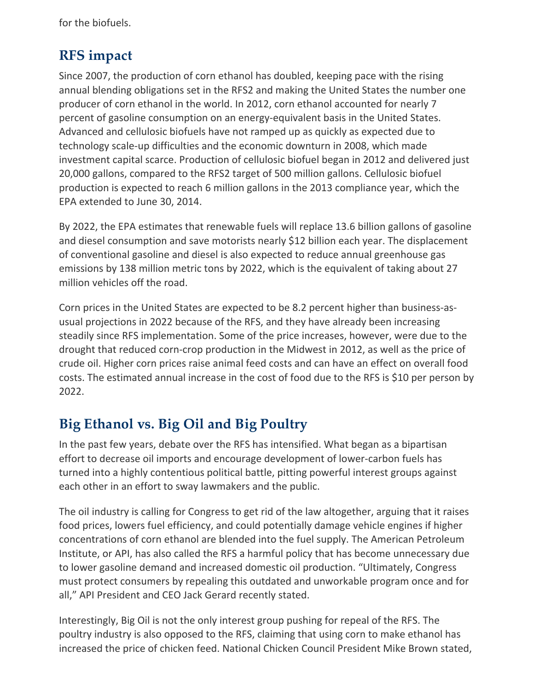for the biofuels.

### **RFS impact**

Since 2007, the production of corn ethanol has doubled, keeping pace with the rising annual blending obligations set in the RFS2 and making the United States the number one producer of corn ethanol in the world. In 2012, corn ethanol accounted for nearly 7 percent of gasoline consumption on an energy-equivalent basis in the United States. Advanced and cellulosic biofuels have not ramped up as quickly as expected due to technology scale-up difficulties and the economic downturn in 2008, which made investment capital scarce. Production of cellulosic biofuel began in 2012 and delivered just 20,000 gallons, compared to the RFS2 target of 500 million gallons. Cellulosic biofuel production is expected to reach 6 million gallons in the 2013 compliance year, which the EPA extended to June 30, 2014.

By 2022, the EPA estimates that renewable fuels will replace 13.6 billion gallons of gasoline and diesel consumption and save motorists nearly \$12 billion each year. The displacement of conventional gasoline and diesel is also expected to reduce annual greenhouse gas emissions by 138 million metric tons by 2022, which is the equivalent of taking about 27 million vehicles off the road.

Corn prices in the United States are expected to be 8.2 percent higher than business-asusual projections in 2022 because of the RFS, and they have already been increasing steadily since RFS implementation. Some of the price increases, however, were due to the drought that reduced corn-crop production in the Midwest in 2012, as well as the price of crude oil. Higher corn prices raise animal feed costs and can have an effect on overall food costs. The estimated annual increase in the cost of food due to the RFS is \$10 per person by 2022.

## **Big Ethanol vs. Big Oil and Big Poultry**

In the past few years, debate over the RFS has intensified. What began as a bipartisan effort to decrease oil imports and encourage development of lower-carbon fuels has turned into a highly contentious political battle, pitting powerful interest groups against each other in an effort to sway lawmakers and the public.

The oil industry is calling for Congress to get rid of the law altogether, arguing that it raises food prices, lowers fuel efficiency, and could potentially damage vehicle engines if higher concentrations of corn ethanol are blended into the fuel supply. The American Petroleum Institute, or API, has also called the RFS a harmful policy that has become unnecessary due to lower gasoline demand and increased domestic oil production. "Ultimately, Congress must protect consumers by repealing this outdated and unworkable program once and for all," API President and CEO Jack Gerard recently stated.

Interestingly, Big Oil is not the only interest group pushing for repeal of the RFS. The poultry industry is also opposed to the RFS, claiming that using corn to make ethanol has increased the price of chicken feed. National Chicken Council President Mike Brown stated,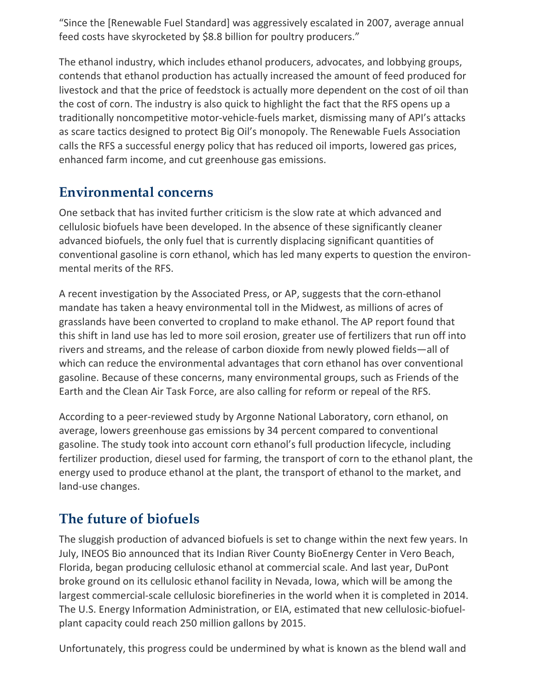"Since the [Renewable Fuel Standard] was aggressively escalated in 2007, average annual feed costs have skyrocketed by \$8.8 billion for poultry producers."

The ethanol industry, which includes ethanol producers, advocates, and lobbying groups, contends that ethanol production has actually increased the amount of feed produced for livestock and that the price of feedstock is actually more dependent on the cost of oil than the cost of corn. The industry is also quick to highlight the fact that the RFS opens up a traditionally noncompetitive motor-vehicle-fuels market, dismissing many of API's attacks as scare tactics designed to protect Big Oil's monopoly. The Renewable Fuels Association calls the RFS a successful energy policy that has reduced oil imports, lowered gas prices, enhanced farm income, and cut greenhouse gas emissions.

#### **Environmental concerns**

One setback that has invited further criticism is the slow rate at which advanced and cellulosic biofuels have been developed. In the absence of these significantly cleaner advanced biofuels, the only fuel that is currently displacing significant quantities of conventional gasoline is corn ethanol, which has led many experts to question the environmental merits of the RFS.

A recent investigation by the Associated Press, or AP, suggests that the corn-ethanol mandate has taken a heavy environmental toll in the Midwest, as millions of acres of grasslands have been converted to cropland to make ethanol. The AP report found that this shift in land use has led to more soil erosion, greater use of fertilizers that run off into rivers and streams, and the release of carbon dioxide from newly plowed fields—all of which can reduce the environmental advantages that corn ethanol has over conventional gasoline. Because of these concerns, many environmental groups, such as Friends of the Earth and the Clean Air Task Force, are also calling for reform or repeal of the RFS.

According to a peer-reviewed study by Argonne National Laboratory, corn ethanol, on average, lowers greenhouse gas emissions by 34 percent compared to conventional gasoline. The study took into account corn ethanol's full production lifecycle, including fertilizer production, diesel used for farming, the transport of corn to the ethanol plant, the energy used to produce ethanol at the plant, the transport of ethanol to the market, and land-use changes.

# **The future of biofuels**

The sluggish production of advanced biofuels is set to change within the next few years. In July, INEOS Bio announced that its Indian River County BioEnergy Center in Vero Beach, Florida, began producing cellulosic ethanol at commercial scale. And last year, DuPont broke ground on its cellulosic ethanol facility in Nevada, Iowa, which will be among the largest commercial-scale cellulosic biorefineries in the world when it is completed in 2014. The U.S. Energy Information Administration, or EIA, estimated that new cellulosic-biofuelplant capacity could reach 250 million gallons by 2015.

Unfortunately, this progress could be undermined by what is known as the blend wall and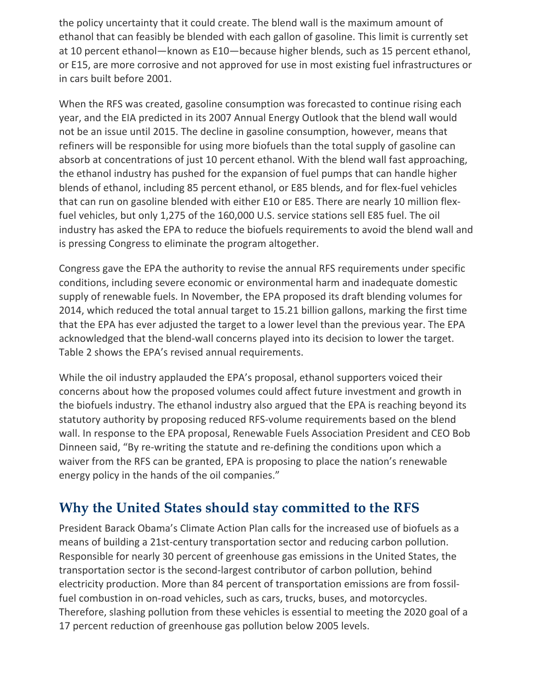the policy uncertainty that it could create. The blend wall is the maximum amount of ethanol that can feasibly be blended with each gallon of gasoline. This limit is currently set at 10 percent ethanol—known as E10—because higher blends, such as 15 percent ethanol, or E15, are more corrosive and not approved for use in most existing fuel infrastructures or in cars built before 2001.

When the RFS was created, gasoline consumption was forecasted to continue rising each year, and the EIA predicted in its 2007 Annual Energy Outlook that the blend wall would not be an issue until 2015. The decline in gasoline consumption, however, means that refiners will be responsible for using more biofuels than the total supply of gasoline can absorb at concentrations of just 10 percent ethanol. With the blend wall fast approaching, the ethanol industry has pushed for the expansion of fuel pumps that can handle higher blends of ethanol, including 85 percent ethanol, or E85 blends, and for flex-fuel vehicles that can run on gasoline blended with either E10 or E85. There are nearly 10 million flexfuel vehicles, but only 1,275 of the 160,000 U.S. service stations sell E85 fuel. The oil industry has asked the EPA to reduce the biofuels requirements to avoid the blend wall and is pressing Congress to eliminate the program altogether.

Congress gave the EPA the authority to revise the annual RFS requirements under specific conditions, including severe economic or environmental harm and inadequate domestic supply of renewable fuels. In November, the EPA proposed its draft blending volumes for 2014, which reduced the total annual target to 15.21 billion gallons, marking the first time that the EPA has ever adjusted the target to a lower level than the previous year. The EPA acknowledged that the blend-wall concerns played into its decision to lower the target. Table 2 shows the EPA's revised annual requirements.

While the oil industry applauded the EPA's proposal, ethanol supporters voiced their concerns about how the proposed volumes could affect future investment and growth in the biofuels industry. The ethanol industry also argued that the EPA is reaching beyond its statutory authority by proposing reduced RFS-volume requirements based on the blend wall. In response to the EPA proposal, Renewable Fuels Association President and CEO Bob Dinneen said, "By re-writing the statute and re-defining the conditions upon which a waiver from the RFS can be granted, EPA is proposing to place the nation's renewable energy policy in the hands of the oil companies."

### **Why the United States should stay committed to the RFS**

President Barack Obama's Climate Action Plan calls for the increased use of biofuels as a means of building a 21st-century transportation sector and reducing carbon pollution. Responsible for nearly 30 percent of greenhouse gas emissions in the United States, the transportation sector is the second-largest contributor of carbon pollution, behind electricity production. More than 84 percent of transportation emissions are from fossilfuel combustion in on-road vehicles, such as cars, trucks, buses, and motorcycles. Therefore, slashing pollution from these vehicles is essential to meeting the 2020 goal of a 17 percent reduction of greenhouse gas pollution below 2005 levels.